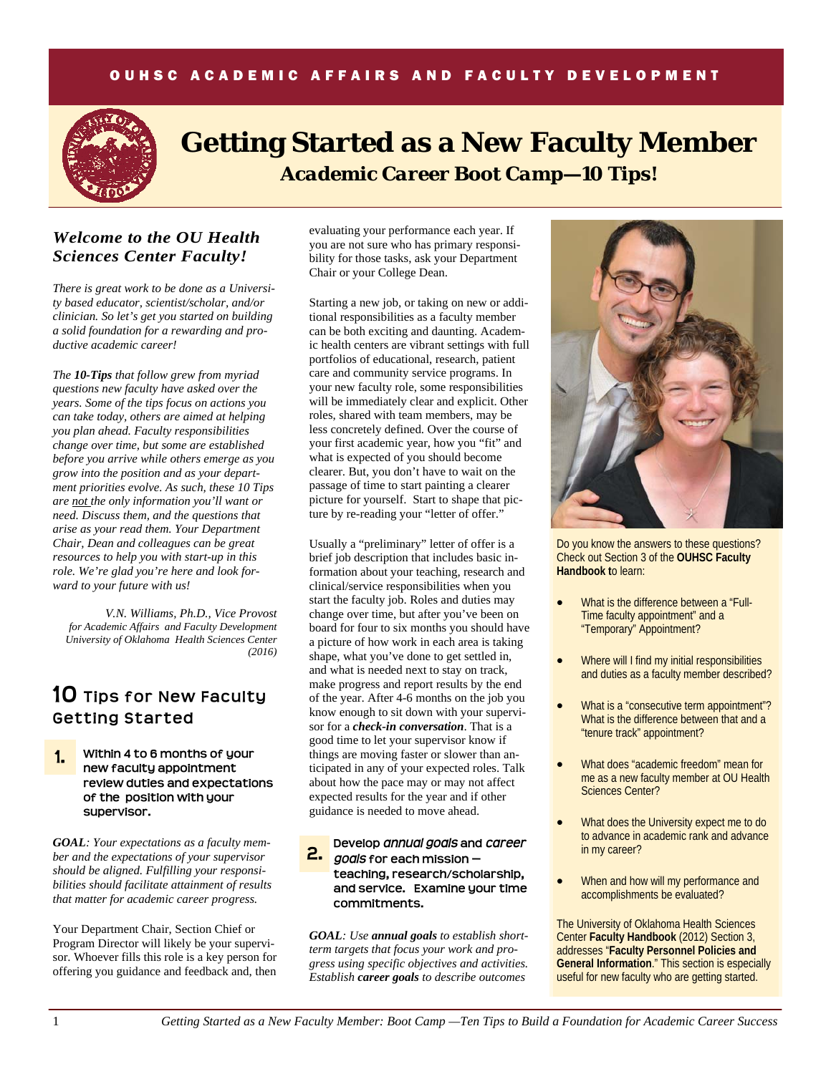## OUHSC ACADEMIC AFFAIRS AND FACULTY DEVELOPMENT



# **Getting Started as a New Faculty Member**  *Academic Career Boot Camp—10 Tips!*

# *Welcome to the OU Health Sciences Center Faculty!*

*There is great work to be done as a University based educator, scientist/scholar, and/or clinician. So let's get you started on building a solid foundation for a rewarding and productive academic career!* 

*The 10-Tips that follow grew from myriad questions new faculty have asked over the years. Some of the tips focus on actions you can take today, others are aimed at helping you plan ahead. Faculty responsibilities change over time, but some are established before you arrive while others emerge as you grow into the position and as your department priorities evolve. As such, these 10 Tips are not the only information you'll want or need. Discuss them, and the questions that arise as your read them. Your Department Chair, Dean and colleagues can be great resources to help you with start-up in this role. We're glad you're here and look forward to your future with us!* 

*V.N. Williams, Ph.D., Vice Provost for Academic Affairs and Faculty Development University of Oklahoma Health Sciences Center (2016)* 

# **10 Tips for New Faculty Getting Started**



*GOAL: Your expectations as a faculty member and the expectations of your supervisor should be aligned. Fulfilling your responsibilities should facilitate attainment of results that matter for academic career progress.* 

Your Department Chair, Section Chief or Program Director will likely be your supervisor. Whoever fills this role is a key person for offering you guidance and feedback and, then evaluating your performance each year. If you are not sure who has primary responsibility for those tasks, ask your Department Chair or your College Dean.

Starting a new job, or taking on new or additional responsibilities as a faculty member can be both exciting and daunting. Academic health centers are vibrant settings with full portfolios of educational, research, patient care and community service programs. In your new faculty role, some responsibilities will be immediately clear and explicit. Other roles, shared with team members, may be less concretely defined. Over the course of your first academic year, how you "fit" and what is expected of you should become clearer. But, you don't have to wait on the passage of time to start painting a clearer picture for yourself. Start to shape that picture by re-reading your "letter of offer."

Usually a "preliminary" letter of offer is a brief job description that includes basic information about your teaching, research and clinical/service responsibilities when you start the faculty job. Roles and duties may change over time, but after you've been on board for four to six months you should have a picture of how work in each area is taking shape, what you've done to get settled in, and what is needed next to stay on track, make progress and report results by the end of the year. After 4-6 months on the job you know enough to sit down with your supervisor for a *check-in conversation*. That is a good time to let your supervisor know if things are moving faster or slower than anticipated in any of your expected roles. Talk about how the pace may or may not affect expected results for the year and if other guidance is needed to move ahead.

### **2. Develop** *annual goals* **and** *career goals* **for each mission teaching, research/scholarship, and service. Examine your time commitments. 2.**

*GOAL: Use annual goals to establish shortterm targets that focus your work and progress using specific objectives and activities. Establish career goals to describe outcomes* 



Do you know the answers to these questions? Check out Section 3 of the **OUHSC Faculty Handbook t**o learn:

- What is the difference between a "Full-Time faculty appointment" and a "Temporary" Appointment?
- Where will I find my initial responsibilities and duties as a faculty member described?
- What is a "consecutive term appointment"? What is the difference between that and a "tenure track" appointment?
- What does "academic freedom" mean for me as a new faculty member at OU Health Sciences Center?
- What does the University expect me to do to advance in academic rank and advance in my career?
- When and how will my performance and accomplishments be evaluated?

The University of Oklahoma Health Sciences Center **Faculty Handbook** (2012) Section 3, addresses "**Faculty Personnel Policies and General Information**." This section is especially useful for new faculty who are getting started.